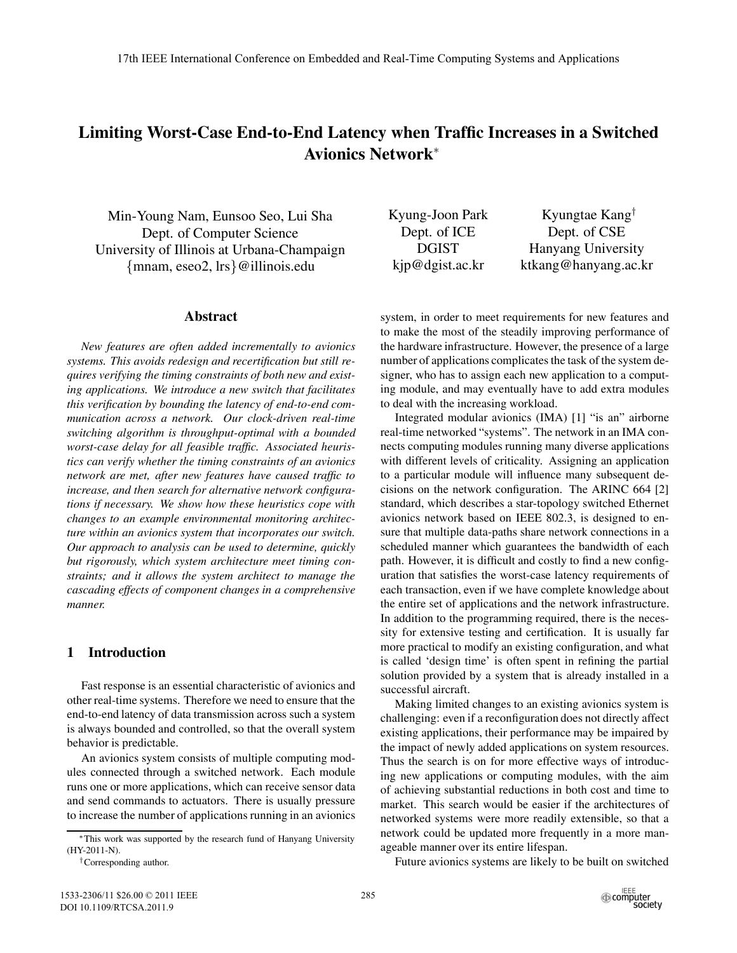# **Limiting Worst-Case End-to-End Latency when Traffic Increases in a Switched Avionics Network**<sup>∗</sup>

Min-Young Nam, Eunsoo Seo, Lui Sha Dept. of Computer Science University of Illinois at Urbana-Champaign {mnam, eseo2, lrs}@illinois.edu

#### **Abstract**

*New features are often added incrementally to avionics systems. This avoids redesign and recertification but still requires verifying the timing constraints of both new and existing applications. We introduce a new switch that facilitates this verification by bounding the latency of end-to-end communication across a network. Our clock-driven real-time switching algorithm is throughput-optimal with a bounded worst-case delay for all feasible traffic. Associated heuristics can verify whether the timing constraints of an avionics network are met, after new features have caused traffic to increase, and then search for alternative network configurations if necessary. We show how these heuristics cope with changes to an example environmental monitoring architecture within an avionics system that incorporates our switch. Our approach to analysis can be used to determine, quickly but rigorously, which system architecture meet timing constraints; and it allows the system architect to manage the cascading effects of component changes in a comprehensive manner.*

# **1 Introduction**

Fast response is an essential characteristic of avionics and other real-time systems. Therefore we need to ensure that the end-to-end latency of data transmission across such a system is always bounded and controlled, so that the overall system behavior is predictable.

An avionics system consists of multiple computing modules connected through a switched network. Each module runs one or more applications, which can receive sensor data and send commands to actuators. There is usually pressure to increase the number of applications running in an avionics

†Corresponding author.

Kyung-Joon Park Dept. of ICE DGIST kjp@dgist.ac.kr

Kyungtae Kang*†* Dept. of CSE Hanyang University ktkang@hanyang.ac.kr

system, in order to meet requirements for new features and to make the most of the steadily improving performance of the hardware infrastructure. However, the presence of a large number of applications complicates the task of the system designer, who has to assign each new application to a computing module, and may eventually have to add extra modules to deal with the increasing workload.

Integrated modular avionics (IMA) [1] "is an" airborne real-time networked "systems". The network in an IMA connects computing modules running many diverse applications with different levels of criticality. Assigning an application to a particular module will influence many subsequent decisions on the network configuration. The ARINC 664 [2] standard, which describes a star-topology switched Ethernet avionics network based on IEEE 802.3, is designed to ensure that multiple data-paths share network connections in a scheduled manner which guarantees the bandwidth of each path. However, it is difficult and costly to find a new configuration that satisfies the worst-case latency requirements of each transaction, even if we have complete knowledge about the entire set of applications and the network infrastructure. In addition to the programming required, there is the necessity for extensive testing and certification. It is usually far more practical to modify an existing configuration, and what is called 'design time' is often spent in refining the partial solution provided by a system that is already installed in a successful aircraft.

Making limited changes to an existing avionics system is challenging: even if a reconfiguration does not directly affect existing applications, their performance may be impaired by the impact of newly added applications on system resources. Thus the search is on for more effective ways of introducing new applications or computing modules, with the aim of achieving substantial reductions in both cost and time to market. This search would be easier if the architectures of networked systems were more readily extensible, so that a network could be updated more frequently in a more manageable manner over its entire lifespan.

Future avionics systems are likely to be built on switched

<sup>∗</sup>This work was supported by the research fund of Hanyang University (HY-2011-N).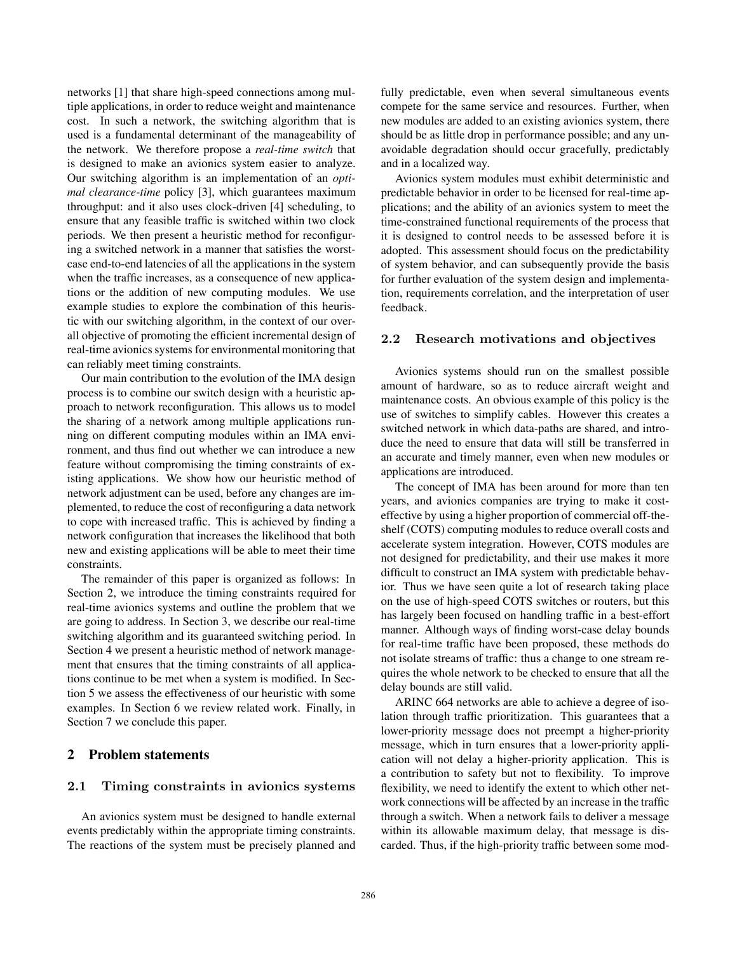networks [1] that share high-speed connections among multiple applications, in order to reduce weight and maintenance cost. In such a network, the switching algorithm that is used is a fundamental determinant of the manageability of the network. We therefore propose a *real-time switch* that is designed to make an avionics system easier to analyze. Our switching algorithm is an implementation of an *optimal clearance-time* policy [3], which guarantees maximum throughput: and it also uses clock-driven [4] scheduling, to ensure that any feasible traffic is switched within two clock periods. We then present a heuristic method for reconfiguring a switched network in a manner that satisfies the worstcase end-to-end latencies of all the applications in the system when the traffic increases, as a consequence of new applications or the addition of new computing modules. We use example studies to explore the combination of this heuristic with our switching algorithm, in the context of our overall objective of promoting the efficient incremental design of real-time avionics systems for environmental monitoring that can reliably meet timing constraints.

Our main contribution to the evolution of the IMA design process is to combine our switch design with a heuristic approach to network reconfiguration. This allows us to model the sharing of a network among multiple applications running on different computing modules within an IMA environment, and thus find out whether we can introduce a new feature without compromising the timing constraints of existing applications. We show how our heuristic method of network adjustment can be used, before any changes are implemented, to reduce the cost of reconfiguring a data network to cope with increased traffic. This is achieved by finding a network configuration that increases the likelihood that both new and existing applications will be able to meet their time constraints.

The remainder of this paper is organized as follows: In Section 2, we introduce the timing constraints required for real-time avionics systems and outline the problem that we are going to address. In Section 3, we describe our real-time switching algorithm and its guaranteed switching period. In Section 4 we present a heuristic method of network management that ensures that the timing constraints of all applications continue to be met when a system is modified. In Section 5 we assess the effectiveness of our heuristic with some examples. In Section 6 we review related work. Finally, in Section 7 we conclude this paper.

# **2 Problem statements**

#### **2.1 Timing constraints in avionics systems**

An avionics system must be designed to handle external events predictably within the appropriate timing constraints. The reactions of the system must be precisely planned and fully predictable, even when several simultaneous events compete for the same service and resources. Further, when new modules are added to an existing avionics system, there should be as little drop in performance possible; and any unavoidable degradation should occur gracefully, predictably and in a localized way.

Avionics system modules must exhibit deterministic and predictable behavior in order to be licensed for real-time applications; and the ability of an avionics system to meet the time-constrained functional requirements of the process that it is designed to control needs to be assessed before it is adopted. This assessment should focus on the predictability of system behavior, and can subsequently provide the basis for further evaluation of the system design and implementation, requirements correlation, and the interpretation of user feedback.

#### **2.2 Research motivations and objectives**

Avionics systems should run on the smallest possible amount of hardware, so as to reduce aircraft weight and maintenance costs. An obvious example of this policy is the use of switches to simplify cables. However this creates a switched network in which data-paths are shared, and introduce the need to ensure that data will still be transferred in an accurate and timely manner, even when new modules or applications are introduced.

The concept of IMA has been around for more than ten years, and avionics companies are trying to make it costeffective by using a higher proportion of commercial off-theshelf (COTS) computing modules to reduce overall costs and accelerate system integration. However, COTS modules are not designed for predictability, and their use makes it more difficult to construct an IMA system with predictable behavior. Thus we have seen quite a lot of research taking place on the use of high-speed COTS switches or routers, but this has largely been focused on handling traffic in a best-effort manner. Although ways of finding worst-case delay bounds for real-time traffic have been proposed, these methods do not isolate streams of traffic: thus a change to one stream requires the whole network to be checked to ensure that all the delay bounds are still valid.

ARINC 664 networks are able to achieve a degree of isolation through traffic prioritization. This guarantees that a lower-priority message does not preempt a higher-priority message, which in turn ensures that a lower-priority application will not delay a higher-priority application. This is a contribution to safety but not to flexibility. To improve flexibility, we need to identify the extent to which other network connections will be affected by an increase in the traffic through a switch. When a network fails to deliver a message within its allowable maximum delay, that message is discarded. Thus, if the high-priority traffic between some mod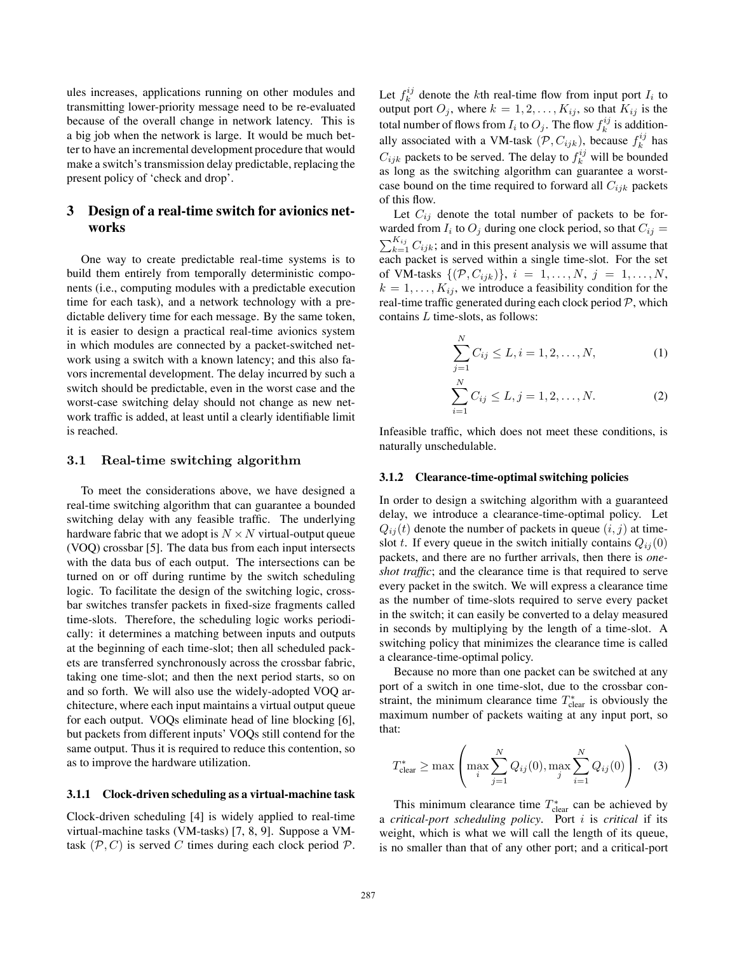ules increases, applications running on other modules and transmitting lower-priority message need to be re-evaluated because of the overall change in network latency. This is a big job when the network is large. It would be much better to have an incremental development procedure that would make a switch's transmission delay predictable, replacing the present policy of 'check and drop'.

# **3 Design of a real-time switch for avionics networks**

One way to create predictable real-time systems is to build them entirely from temporally deterministic components (i.e., computing modules with a predictable execution time for each task), and a network technology with a predictable delivery time for each message. By the same token, it is easier to design a practical real-time avionics system in which modules are connected by a packet-switched network using a switch with a known latency; and this also favors incremental development. The delay incurred by such a switch should be predictable, even in the worst case and the worst-case switching delay should not change as new network traffic is added, at least until a clearly identifiable limit is reached.

#### **3.1 Real-time switching algorithm**

To meet the considerations above, we have designed a real-time switching algorithm that can guarantee a bounded switching delay with any feasible traffic. The underlying hardware fabric that we adopt is  $N \times N$  virtual-output queue (VOQ) crossbar [5]. The data bus from each input intersects with the data bus of each output. The intersections can be turned on or off during runtime by the switch scheduling logic. To facilitate the design of the switching logic, crossbar switches transfer packets in fixed-size fragments called time-slots. Therefore, the scheduling logic works periodically: it determines a matching between inputs and outputs at the beginning of each time-slot; then all scheduled packets are transferred synchronously across the crossbar fabric, taking one time-slot; and then the next period starts, so on and so forth. We will also use the widely-adopted VOQ architecture, where each input maintains a virtual output queue for each output. VOQs eliminate head of line blocking [6], but packets from different inputs' VOQs still contend for the same output. Thus it is required to reduce this contention, so as to improve the hardware utilization.

#### **3.1.1 Clock-driven scheduling as a virtual-machine task**

Clock-driven scheduling [4] is widely applied to real-time virtual-machine tasks (VM-tasks) [7, 8, 9]. Suppose a VMtask  $(\mathcal{P}, C)$  is served C times during each clock period  $\mathcal{P}$ .

Let  $f_k^{ij}$  denote the kth real-time flow from input port  $I_i$  to output port  $O_j$ , where  $k = 1, 2, \ldots, K_{ij}$ , so that  $K_{ij}$  is the total number of flows from  $I_i$  to  $O_j$ . The flow  $f_k^{ij}$  is additionally associated with a VM-task  $(\mathcal{P}, C_{ijk})$ , because  $f_k^{ij}$  has  $C_{ijk}$  packets to be served. The delay to  $f_k^{ij}$  will be bounded as long as the switching algorithm can guarantee a worstcase bound on the time required to forward all  $C_{ijk}$  packets of this flow.

Let  $C_{ij}$  denote the total number of packets to be forwarded from  $I_i$  to  $O_j$  during one clock period, so that  $C_{ij}$  =  $\sum_{k=1}^{K_{ij}} C_{ijk}$ ; and in this present analysis we will assume that each packet is served within a single time-slot. For the set each packet is served within a single time-slot. For the set of VM-tasks  $\{(\mathcal{P}, C_{ijk})\}, i = 1, ..., N, j = 1, ..., N$ ,  $k = 1, \ldots, K_{ij}$ , we introduce a feasibility condition for the real-time traffic generated during each clock period  $P$ , which contains L time-slots, as follows:

$$
\sum_{j=1}^{N} C_{ij} \le L, i = 1, 2, ..., N,
$$
 (1)

$$
\sum_{i=1}^{N} C_{ij} \le L, j = 1, 2, ..., N.
$$
 (2)

Infeasible traffic, which does not meet these conditions, is naturally unschedulable.

#### **3.1.2 Clearance-time-optimal switching policies**

In order to design a switching algorithm with a guaranteed delay, we introduce a clearance-time-optimal policy. Let  $Q_{ij}(t)$  denote the number of packets in queue  $(i, j)$  at timeslot t. If every queue in the switch initially contains  $Q_{ij}(0)$ packets, and there are no further arrivals, then there is *oneshot traffic*; and the clearance time is that required to serve every packet in the switch. We will express a clearance time as the number of time-slots required to serve every packet in the switch; it can easily be converted to a delay measured in seconds by multiplying by the length of a time-slot. A switching policy that minimizes the clearance time is called a clearance-time-optimal policy.

Because no more than one packet can be switched at any port of a switch in one time-slot, due to the crossbar constraint, the minimum clearance time  $T_{\text{clear}}^*$  is obviously the maximum number of packets waiting at any input port, so that:

$$
T_{\text{clear}}^{*} \ge \max\left(\max_{i} \sum_{j=1}^{N} Q_{ij}(0), \max_{j} \sum_{i=1}^{N} Q_{ij}(0)\right). \quad (3)
$$

This minimum clearance time  $T_{\text{clear}}^*$  can be achieved by a *critical-port scheduling policy*. Port i is *critical* if its weight, which is what we will call the length of its queue, is no smaller than that of any other port; and a critical-port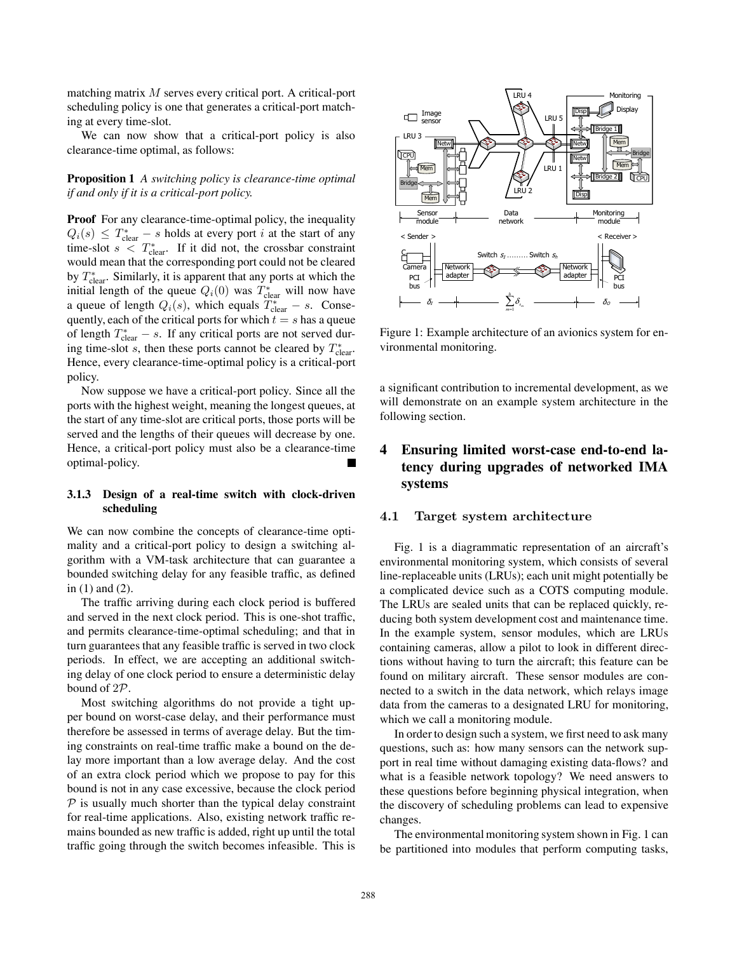matching matrix M serves every critical port. A critical-port scheduling policy is one that generates a critical-port matching at every time-slot.

We can now show that a critical-port policy is also clearance-time optimal, as follows:

## **Proposition 1** *A switching policy is clearance-time optimal if and only if it is a critical-port policy.*

**Proof** For any clearance-time-optimal policy, the inequality  $Q_i(s) \leq T_{\text{clear}}^* - s$  holds at every port i at the start of any time-slot  $s < T^*_{\text{clear}}$ . If it did not, the crossbar constraint would mean that the corresponding port could not be cleared by  $T_{\text{clear}}^*$ . Similarly, it is apparent that any ports at which the initial length of the queue  $Q_i(0)$  was  $T^*_{\text{clear}}$  will now have a queue of length  $Q_i(s)$ , which equals  $T_{\text{clear}}^* - s$ . Consequently, each of the critical ports for which  $t = s$  has a queue of length  $T_{\text{clear}}^*$  – s. If any critical ports are not served during time-slot s, then these ports cannot be cleared by  $T_{\text{clear}}^*$ . Hence, every clearance-time-optimal policy is a critical-port policy.

Now suppose we have a critical-port policy. Since all the ports with the highest weight, meaning the longest queues, at the start of any time-slot are critical ports, those ports will be served and the lengths of their queues will decrease by one. Hence, a critical-port policy must also be a clearance-time optimal-policy.

# **3.1.3 Design of a real-time switch with clock-driven scheduling**

We can now combine the concepts of clearance-time optimality and a critical-port policy to design a switching algorithm with a VM-task architecture that can guarantee a bounded switching delay for any feasible traffic, as defined in (1) and (2).

The traffic arriving during each clock period is buffered and served in the next clock period. This is one-shot traffic, and permits clearance-time-optimal scheduling; and that in turn guarantees that any feasible traffic is served in two clock periods. In effect, we are accepting an additional switching delay of one clock period to ensure a deterministic delay bound of 2P.

Most switching algorithms do not provide a tight upper bound on worst-case delay, and their performance must therefore be assessed in terms of average delay. But the timing constraints on real-time traffic make a bound on the delay more important than a low average delay. And the cost of an extra clock period which we propose to pay for this bound is not in any case excessive, because the clock period  $P$  is usually much shorter than the typical delay constraint for real-time applications. Also, existing network traffic remains bounded as new traffic is added, right up until the total traffic going through the switch becomes infeasible. This is



Figure 1: Example architecture of an avionics system for environmental monitoring.

a significant contribution to incremental development, as we will demonstrate on an example system architecture in the following section.

# **4 Ensuring limited worst-case end-to-end latency during upgrades of networked IMA systems**

#### **4.1 Target system architecture**

Fig. 1 is a diagrammatic representation of an aircraft's environmental monitoring system, which consists of several line-replaceable units (LRUs); each unit might potentially be a complicated device such as a COTS computing module. The LRUs are sealed units that can be replaced quickly, reducing both system development cost and maintenance time. In the example system, sensor modules, which are LRUs containing cameras, allow a pilot to look in different directions without having to turn the aircraft; this feature can be found on military aircraft. These sensor modules are connected to a switch in the data network, which relays image data from the cameras to a designated LRU for monitoring, which we call a monitoring module.

In order to design such a system, we first need to ask many questions, such as: how many sensors can the network support in real time without damaging existing data-flows? and what is a feasible network topology? We need answers to these questions before beginning physical integration, when the discovery of scheduling problems can lead to expensive changes.

The environmental monitoring system shown in Fig. 1 can be partitioned into modules that perform computing tasks,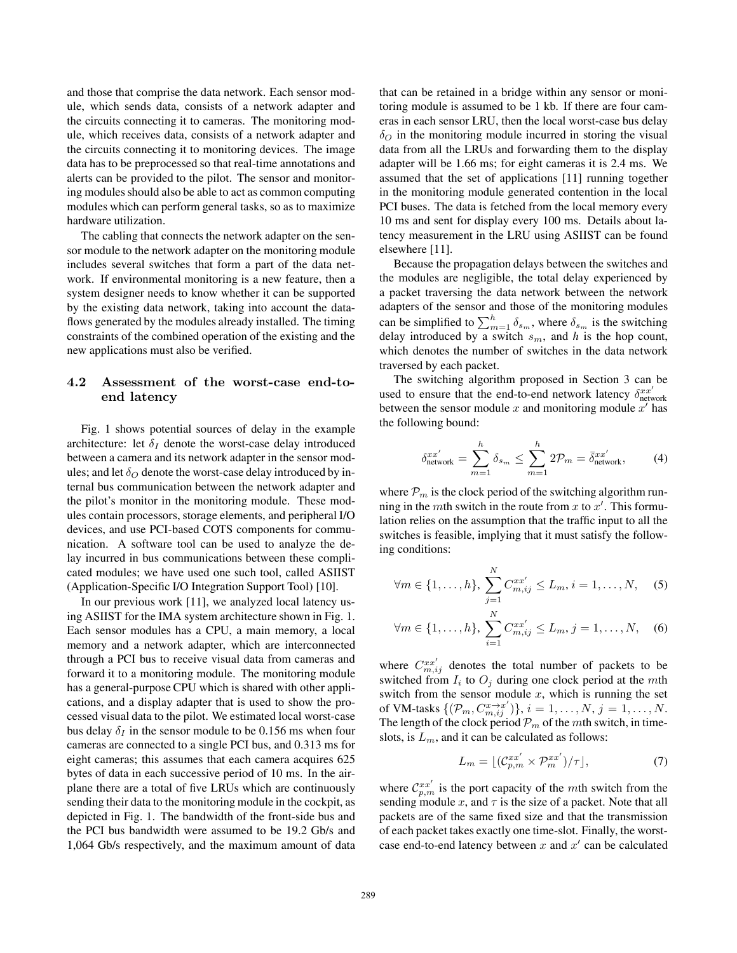and those that comprise the data network. Each sensor module, which sends data, consists of a network adapter and the circuits connecting it to cameras. The monitoring module, which receives data, consists of a network adapter and the circuits connecting it to monitoring devices. The image data has to be preprocessed so that real-time annotations and alerts can be provided to the pilot. The sensor and monitoring modules should also be able to act as common computing modules which can perform general tasks, so as to maximize hardware utilization.

The cabling that connects the network adapter on the sensor module to the network adapter on the monitoring module includes several switches that form a part of the data network. If environmental monitoring is a new feature, then a system designer needs to know whether it can be supported by the existing data network, taking into account the dataflows generated by the modules already installed. The timing constraints of the combined operation of the existing and the new applications must also be verified.

# **4.2 Assessment of the worst-case end-toend latency**

Fig. 1 shows potential sources of delay in the example architecture: let  $\delta_I$  denote the worst-case delay introduced between a camera and its network adapter in the sensor modules; and let  $\delta_{\Omega}$  denote the worst-case delay introduced by internal bus communication between the network adapter and the pilot's monitor in the monitoring module. These modules contain processors, storage elements, and peripheral I/O devices, and use PCI-based COTS components for communication. A software tool can be used to analyze the delay incurred in bus communications between these complicated modules; we have used one such tool, called ASIIST (Application-Specific I/O Integration Support Tool) [10].

In our previous work [11], we analyzed local latency using ASIIST for the IMA system architecture shown in Fig. 1. Each sensor modules has a CPU, a main memory, a local memory and a network adapter, which are interconnected through a PCI bus to receive visual data from cameras and forward it to a monitoring module. The monitoring module has a general-purpose CPU which is shared with other applications, and a display adapter that is used to show the processed visual data to the pilot. We estimated local worst-case bus delay  $\delta_I$  in the sensor module to be 0.156 ms when four cameras are connected to a single PCI bus, and 0.313 ms for eight cameras; this assumes that each camera acquires 625 bytes of data in each successive period of 10 ms. In the airplane there are a total of five LRUs which are continuously sending their data to the monitoring module in the cockpit, as depicted in Fig. 1. The bandwidth of the front-side bus and the PCI bus bandwidth were assumed to be 19.2 Gb/s and 1,064 Gb/s respectively, and the maximum amount of data that can be retained in a bridge within any sensor or monitoring module is assumed to be 1 kb. If there are four cameras in each sensor LRU, then the local worst-case bus delay  $\delta$ <sup>O</sup> in the monitoring module incurred in storing the visual data from all the LRUs and forwarding them to the display adapter will be 1.66 ms; for eight cameras it is 2.4 ms. We assumed that the set of applications [11] running together in the monitoring module generated contention in the local PCI buses. The data is fetched from the local memory every 10 ms and sent for display every 100 ms. Details about latency measurement in the LRU using ASIIST can be found elsewhere [11].

Because the propagation delays between the switches and the modules are negligible, the total delay experienced by a packet traversing the data network between the network adapters of the sensor and those of the monitoring modules can be simplified to  $\sum_{m=1}^{h} \delta_{s_m}$ , where  $\delta_{s_m}$  is the switching delay introduced by a switch  $s_a$  and h is the bop count delay introduced by a switch  $s_m$ , and  $h$  is the hop count, which denotes the number of switches in the data network traversed by each packet.

The switching algorithm proposed in Section 3 can be used to ensure that the end-to-end network latency  $\delta_{\text{network}}^{xx'}$ between the sensor module x and monitoring module  $x'$  has the following bound:

$$
\delta_{\text{network}}^{xx'} = \sum_{m=1}^{h} \delta_{s_m} \le \sum_{m=1}^{h} 2\mathcal{P}_m = \bar{\delta}_{\text{network}}^{xx'}, \tag{4}
$$

where  $P_m$  is the clock period of the switching algorithm running in the mth switch in the route from x to  $x'$ . This formulation relies on the assumption that the traffic input to all the switches is feasible, implying that it must satisfy the following conditions:

$$
\forall m \in \{1, ..., h\}, \ \sum_{j=1}^{N} C_{m, ij}^{xx'} \le L_m, i = 1, ..., N, \quad (5)
$$

$$
\forall m \in \{1, ..., h\}, \ \sum_{i=1}^{N} C_{m,ij}^{xx'} \le L_m, j = 1, ..., N, \quad (6)
$$

where  $C_{m,ij}^{xx'}$  denotes the total number of packets to be switched from  $I_i$  to  $O_j$  during one clock period at the mth switch from the sensor module  $x$ , which is running the set of VM-tasks  $\{(\mathcal{P}_m, C_{m,ij}^{x \to x'})\}, i = 1, \ldots, N, j = 1, \ldots, N$ . The length of the clock period  $\mathcal{P}_m$  of the mth switch, in timeslots, is  $L_m$ , and it can be calculated as follows:

$$
L_m = \lfloor (\mathcal{C}_{p,m}^{xx'} \times \mathcal{P}_m^{xx'}) / \tau \rfloor,
$$
 (7)

where  $\mathcal{C}_{p,m}^{xx'}$  is the port capacity of the mth switch from the sending module x, and  $\tau$  is the size of a packet. Note that all packets are of the same fixed size and that the transmission of each packet takes exactly one time-slot. Finally, the worstcase end-to-end latency between x and  $x'$  can be calculated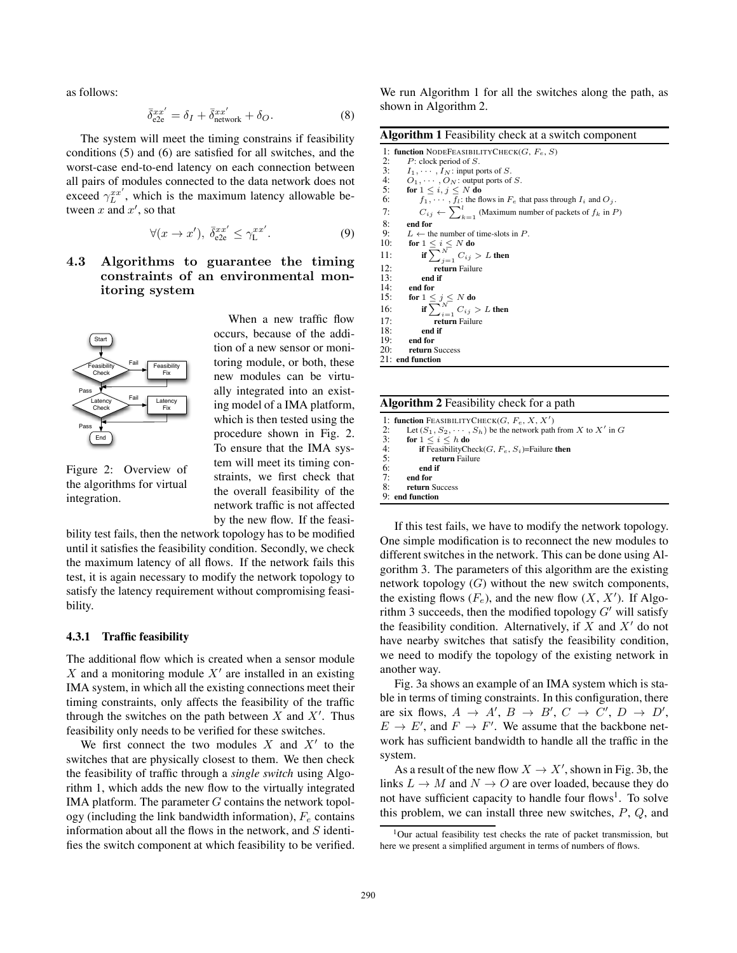as follows:

$$
\bar{\delta}_{\text{e2e}}^{xx'} = \delta_I + \bar{\delta}_{\text{network}}^{xx'} + \delta_O. \tag{8}
$$

The system will meet the timing constrains if feasibility conditions (5) and (6) are satisfied for all switches, and the worst-case end-to-end latency on each connection between all pairs of modules connected to the data network does not exceed  $\gamma_L^{xx'}$ , which is the maximum latency allowable between  $x$  and  $x'$ , so that

$$
\forall (x \to x'), \ \bar{\delta}^{xx'}_{e2e} \le \gamma^{xx'}_L. \tag{9}
$$

# **4.3 Algorithms to guarantee the timing constraints of an environmental monitoring system**



Figure 2: Overview of the algorithms for virtual integration.

When a new traffic flow occurs, because of the addition of a new sensor or monitoring module, or both, these new modules can be virtually integrated into an existing model of a IMA platform, which is then tested using the procedure shown in Fig. 2. To ensure that the IMA system will meet its timing constraints, we first check that the overall feasibility of the network traffic is not affected by the new flow. If the feasi-

bility test fails, then the network topology has to be modified until it satisfies the feasibility condition. Secondly, we check the maximum latency of all flows. If the network fails this test, it is again necessary to modify the network topology to satisfy the latency requirement without compromising feasibility.

#### **4.3.1 Traffic feasibility**

The additional flow which is created when a sensor module  $X$  and a monitoring module  $X'$  are installed in an existing IMA system, in which all the existing connections meet their timing constraints, only affects the feasibility of the traffic through the switches on the path between  $X$  and  $X'$ . Thus feasibility only needs to be verified for these switches.

We first connect the two modules  $X$  and  $X'$  to the switches that are physically closest to them. We then check the feasibility of traffic through a *single switch* using Algorithm 1, which adds the new flow to the virtually integrated IMA platform. The parameter  $G$  contains the network topology (including the link bandwidth information),  $F_e$  contains information about all the flows in the network, and  $S$  identifies the switch component at which feasibility to be verified. We run Algorithm 1 for all the switches along the path, as shown in Algorithm 2.

| Algorithm 1 Feasibility check at a switch component |  |  |  |  |
|-----------------------------------------------------|--|--|--|--|
|-----------------------------------------------------|--|--|--|--|

| 1: function NODEFEASIBILITYCHECK(G, $F_e$ , S)                                                                                                         |                                                                              |
|--------------------------------------------------------------------------------------------------------------------------------------------------------|------------------------------------------------------------------------------|
| 2:<br>$P$ : clock period of $S$ .                                                                                                                      |                                                                              |
| 3:<br>$I_1, \cdots, I_N$ : input ports of S.                                                                                                           |                                                                              |
| $rac{4}{5}$<br>$O_1, \cdots, O_N$ : output ports of S.                                                                                                 |                                                                              |
| for $1 \leq i, j \leq N$ do                                                                                                                            |                                                                              |
| 6:                                                                                                                                                     | $f_1, \dots, f_l$ : the flows in $F_e$ that pass through $I_i$ and $O_i$ .   |
| 7:                                                                                                                                                     | $C_{ij} \leftarrow \sum_{k=1}^{l}$ (Maximum number of packets of $f_k$ in P) |
| 8:<br>end for                                                                                                                                          |                                                                              |
| 9:<br>$L \leftarrow$ the number of time-slots in P.                                                                                                    |                                                                              |
| 10:                                                                                                                                                    |                                                                              |
| $\begin{array}{l} \mbox{\bf for} \ 1 \leq i \leq N \ \mbox{\bf do} \\ \mbox{\bf if} \ \sum_{i=1}^N \, C_{ij} > L \ \mbox{\bf then} \end{array}$<br>11: |                                                                              |
| 12:<br>return Failure                                                                                                                                  |                                                                              |
| 13:<br>end if                                                                                                                                          |                                                                              |
| 14:<br>end for                                                                                                                                         |                                                                              |
| 15:                                                                                                                                                    |                                                                              |
| for $1 \leq j \leq N$ do<br>if $\sum_{i=1}^{N} C_{ij} > L$ then<br>16:                                                                                 |                                                                              |
| 17:<br>return Failure                                                                                                                                  |                                                                              |
| 18:<br>end if                                                                                                                                          |                                                                              |
| 19:<br>end for                                                                                                                                         |                                                                              |
| 20:<br>return Success                                                                                                                                  |                                                                              |
| $211$ and function                                                                                                                                     |                                                                              |

end function

|          | <b>Algorithm 2</b> Feasibility check for a path                                                                                                    |  |  |  |
|----------|----------------------------------------------------------------------------------------------------------------------------------------------------|--|--|--|
| 2:<br>3: | 1: function FEASIBILITY CHECK(G, $F_e$ , X, X')<br>Let $(S_1, S_2, \cdots, S_h)$ be the network path from X to X' in G<br>for $1 \leq i \leq h$ do |  |  |  |
| 4:<br>5: | <b>if</b> FeasibilityCheck(G, $F_e$ , $S_i$ )=Failure <b>then</b><br>return Failure                                                                |  |  |  |
| 6:<br>7: | end if                                                                                                                                             |  |  |  |
| 8:       | end for<br>return Success                                                                                                                          |  |  |  |
|          | 9: end function                                                                                                                                    |  |  |  |

If this test fails, we have to modify the network topology. One simple modification is to reconnect the new modules to different switches in the network. This can be done using Algorithm 3. The parameters of this algorithm are the existing network topology  $(G)$  without the new switch components, the existing flows  $(F_e)$ , and the new flow  $(X, X')$ . If Algorithm 3 succeeds, then the modified topology  $G'$  will satisfy the feasibility condition. Alternatively, if  $X$  and  $X'$  do not have nearby switches that satisfy the feasibility condition, we need to modify the topology of the existing network in another way.

Fig. 3a shows an example of an IMA system which is stable in terms of timing constraints. In this configuration, there are six flows,  $A \rightarrow A', B \rightarrow B', C \rightarrow C', D \rightarrow D'$ ,  $E \to E'$ , and  $F \to F'$ . We assume that the backbone network has sufficient bandwidth to handle all the traffic in the system.

As a result of the new flow  $X \to X'$ , shown in Fig. 3b, the links  $L \to M$  and  $N \to O$  are over loaded, because they do not have sufficient capacity to handle four flows<sup>1</sup>. To solve this problem, we can install three new switches,  $P$ ,  $Q$ , and

 $1$ Our actual feasibility test checks the rate of packet transmission, but here we present a simplified argument in terms of numbers of flows.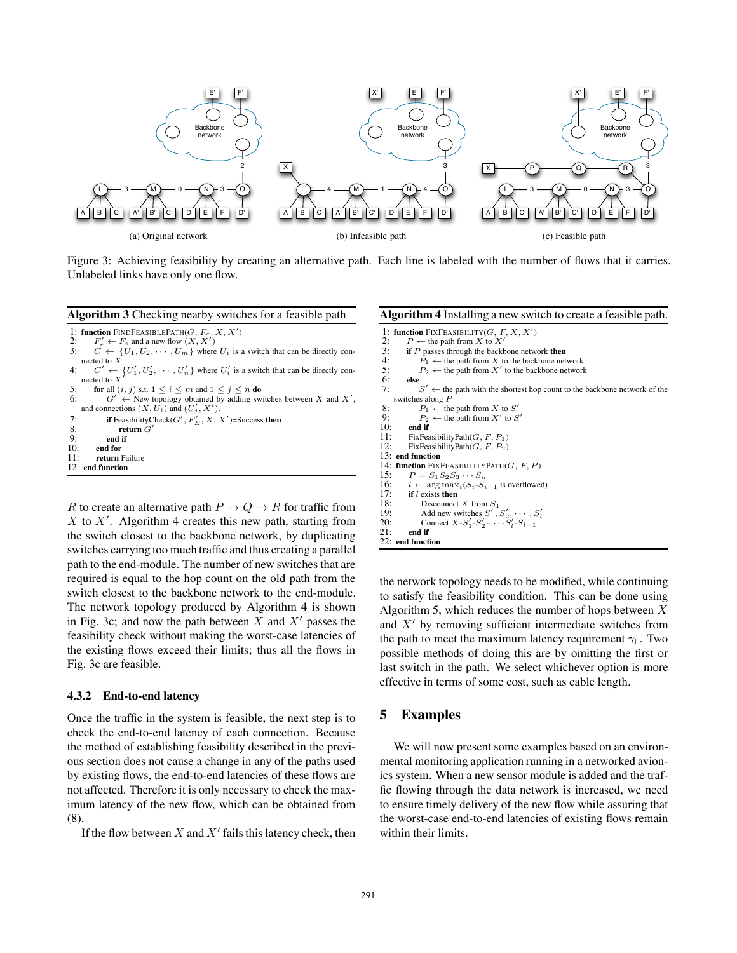

Figure 3: Achieving feasibility by creating an alternative path. Each line is labeled with the number of flows that it carries. Unlabeled links have only one flow.

|     | <b>Algorithm 3</b> Checking nearby switches for a feasible path                                 |
|-----|-------------------------------------------------------------------------------------------------|
|     | 1: function FINDFEASIBLEPATH(G, $F_e$ , X, X')                                                  |
| 2:  | $F'_e \leftarrow F_e$ and a new flow $(X, X')$                                                  |
| 3:  | $C \leftarrow \{U_1, U_2, \cdots, U_m\}$ where $U_i$ is a switch that can be directly con-      |
|     | nected to $X$                                                                                   |
| 4:  | $C' \leftarrow \{U'_1, U'_2, \cdots, U'_n\}$ where $U'_i$ is a switch that can be directly con- |
|     | nected to $X'$                                                                                  |
| 5:  | for all $(i, j)$ s.t. $1 \leq i \leq m$ and $1 \leq j \leq n$ do                                |
| 6:  | $G' \leftarrow$ New topology obtained by adding switches between X and X',                      |
|     | and connections $(X, U_i)$ and $(U'_i, X')$ .                                                   |
| 7:  | <b>if</b> FeasibilityCheck( $G'$ , $F'_E$ , $X$ , $X'$ )=Success then                           |
| 8:  | return $G'$                                                                                     |
| 9:  | end if                                                                                          |
| 10: | end for                                                                                         |
| 11: | return Failure                                                                                  |
|     | 12: end function                                                                                |

R to create an alternative path  $P \to Q \to R$  for traffic from  $X$  to  $X'$ . Algorithm 4 creates this new path, starting from the switch closest to the backbone network, by duplicating switches carrying too much traffic and thus creating a parallel path to the end-module. The number of new switches that are required is equal to the hop count on the old path from the switch closest to the backbone network to the end-module. The network topology produced by Algorithm 4 is shown in Fig. 3c; and now the path between  $X$  and  $X'$  passes the feasibility check without making the worst-case latencies of the existing flows exceed their limits; thus all the flows in Fig. 3c are feasible.

#### **4.3.2 End-to-end latency**

Once the traffic in the system is feasible, the next step is to check the end-to-end latency of each connection. Because the method of establishing feasibility described in the previous section does not cause a change in any of the paths used by existing flows, the end-to-end latencies of these flows are not affected. Therefore it is only necessary to check the maximum latency of the new flow, which can be obtained from (8).

If the flow between  $X$  and  $X'$  fails this latency check, then

| <b>Algorithm 4</b> Installing a new switch to create a feasible path.                     |
|-------------------------------------------------------------------------------------------|
| 1: function FIXFEASIBILITY(G, F, X, X')                                                   |
| $P \leftarrow$ the path from X to X'<br>2:                                                |
| 3:<br>if $P$ passes through the backbone network then                                     |
| 4:<br>$P_1 \leftarrow$ the path from X to the backbone network                            |
| 5:<br>$P_2 \leftarrow$ the path from X' to the backbone network                           |
| 6:<br>else                                                                                |
| $S' \leftarrow$ the path with the shortest hop count to the backbone network of the<br>7: |
| switches along $P$                                                                        |
| 8:<br>$P_1 \leftarrow$ the path from X to S'                                              |
| $P_2 \leftarrow$ the path from X' to S'<br>9:                                             |
| 10:<br>end if                                                                             |
| 11:<br>FixFeasibilityPath $(G, F, P_1)$                                                   |
| 12:<br>FixFeasibilityPath $(G, F, P_2)$                                                   |
| 13: end function                                                                          |
| 14: function FIXFEASIBILITYPATH $(G, F, P)$                                               |
| 15:<br>$P = S_1 S_2 S_3 \cdots S_n$                                                       |
| 16:<br>$l \leftarrow \arg \max_i (S_i - S_{i+1})$ is overflowed)                          |
| 17:<br>if $l$ exists then                                                                 |
| 18:<br>Disconnect X from $S_1$                                                            |
| 19:<br>Add new switches $S'_1, S'_2, \cdots, S'_l$                                        |
| 20:<br>Connect $X-S'_1-S'_2-\cdots-S'_l-S_{l+1}$                                          |
| 21:<br>end if                                                                             |
| 22: end function                                                                          |

the network topology needs to be modified, while continuing to satisfy the feasibility condition. This can be done using Algorithm 5, which reduces the number of hops between  $X$ and  $X'$  by removing sufficient intermediate switches from the path to meet the maximum latency requirement  $\gamma_L$ . Two possible methods of doing this are by omitting the first or last switch in the path. We select whichever option is more effective in terms of some cost, such as cable length.

# **5 Examples**

We will now present some examples based on an environmental monitoring application running in a networked avionics system. When a new sensor module is added and the traffic flowing through the data network is increased, we need to ensure timely delivery of the new flow while assuring that the worst-case end-to-end latencies of existing flows remain within their limits.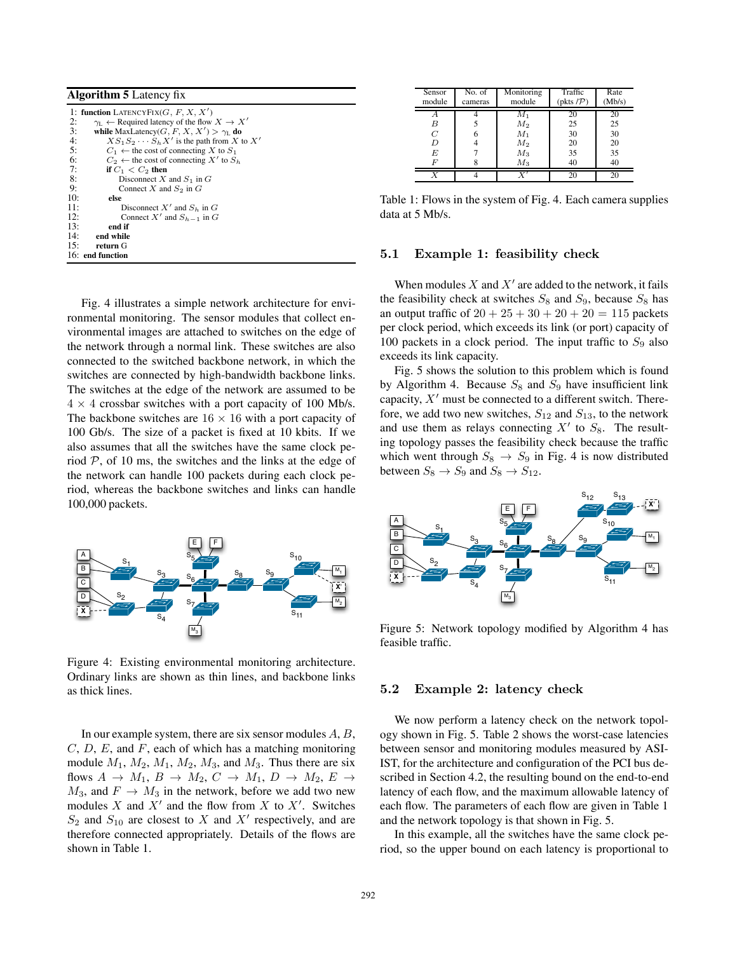| <b>Algorithm 5</b> Latency fix                                              |  |  |  |
|-----------------------------------------------------------------------------|--|--|--|
| 1: function LATENCYFIX(G, F, X, X')                                         |  |  |  |
| $\gamma_L \leftarrow$ Required latency of the flow $X \rightarrow X'$<br>2: |  |  |  |
| 3:<br>while MaxLatency(G, F, X, X') > $\gamma_1$ do                         |  |  |  |
| $rac{4}{5}$<br>$XS_1S_2\cdots S_hX'$ is the path from X to X'               |  |  |  |
| $C_1 \leftarrow$ the cost of connecting X to $S_1$                          |  |  |  |
| 6:<br>$C_2 \leftarrow$ the cost of connecting X' to $S_h$                   |  |  |  |
| 7:<br>if $C_1 < C_2$ then                                                   |  |  |  |
| 8:<br>Disconnect X and $S_1$ in G                                           |  |  |  |
| 9:<br>Connect X and $S_2$ in G                                              |  |  |  |
| 10:<br>else                                                                 |  |  |  |
| 11:<br>Disconnect $X'$ and $S_h$ in $G$                                     |  |  |  |
| Connect X' and $S_{h-1}$ in G<br>12:                                        |  |  |  |
| 13:<br>end if                                                               |  |  |  |
| 14:<br>end while                                                            |  |  |  |
| 15:<br>return G                                                             |  |  |  |
| 16: end function                                                            |  |  |  |

Fig. 4 illustrates a simple network architecture for environmental monitoring. The sensor modules that collect environmental images are attached to switches on the edge of the network through a normal link. These switches are also connected to the switched backbone network, in which the switches are connected by high-bandwidth backbone links. The switches at the edge of the network are assumed to be  $4 \times 4$  crossbar switches with a port capacity of 100 Mb/s. The backbone switches are  $16 \times 16$  with a port capacity of 100 Gb/s. The size of a packet is fixed at 10 kbits. If we also assumes that all the switches have the same clock period  $P$ , of 10 ms, the switches and the links at the edge of the network can handle 100 packets during each clock period, whereas the backbone switches and links can handle 100,000 packets.



Figure 4: Existing environmental monitoring architecture. Ordinary links are shown as thin lines, and backbone links as thick lines.

In our example system, there are six sensor modules  $A, B$ ,  $C, D, E$ , and  $F$ , each of which has a matching monitoring module  $M_1$ ,  $M_2$ ,  $M_1$ ,  $M_2$ ,  $M_3$ , and  $M_3$ . Thus there are six flows  $A \rightarrow M_1, B \rightarrow M_2, C \rightarrow M_1, D \rightarrow M_2, E \rightarrow$  $M_3$ , and  $F \to M_3$  in the network, before we add two new modules X and  $X'$  and the flow from X to  $X'$ . Switches  $S_2$  and  $S_{10}$  are closest to X and X' respectively, and are therefore connected appropriately. Details of the flows are shown in Table 1.

| Sensor<br>module | No. of<br>cameras | Monitoring<br>module | Traffic<br>$(\text{pkts } / \mathcal{P})$ | Rate<br>(Mb/s) |
|------------------|-------------------|----------------------|-------------------------------------------|----------------|
|                  |                   | $M_1$                | 20                                        | 20             |
| B                |                   | $M_2$                | 25                                        | 25             |
| C                |                   | $M_1$                | 30                                        | 30             |
| D                |                   | $M_2$                | 20                                        | 20             |
| E                |                   | $M_3$                | 35                                        | 35             |
| F                |                   | $M_3$                | 40                                        | 40             |
|                  |                   |                      | 20                                        | 20             |

Table 1: Flows in the system of Fig. 4. Each camera supplies data at 5 Mb/s.

#### **5.1 Example 1: feasibility check**

When modules  $X$  and  $X'$  are added to the network, it fails the feasibility check at switches  $S_8$  and  $S_9$ , because  $S_8$  has an output traffic of  $20 + 25 + 30 + 20 + 20 = 115$  packets per clock period, which exceeds its link (or port) capacity of 100 packets in a clock period. The input traffic to  $S_9$  also exceeds its link capacity.

Fig. 5 shows the solution to this problem which is found by Algorithm 4. Because  $S_8$  and  $S_9$  have insufficient link capacity,  $X'$  must be connected to a different switch. Therefore, we add two new switches,  $S_{12}$  and  $S_{13}$ , to the network and use them as relays connecting  $X'$  to  $S_8$ . The resulting topology passes the feasibility check because the traffic which went through  $S_8 \rightarrow S_9$  in Fig. 4 is now distributed between  $S_8 \rightarrow S_9$  and  $S_8 \rightarrow S_{12}$ .



Figure 5: Network topology modified by Algorithm 4 has feasible traffic.

#### **5.2 Example 2: latency check**

We now perform a latency check on the network topology shown in Fig. 5. Table 2 shows the worst-case latencies between sensor and monitoring modules measured by ASI-IST, for the architecture and configuration of the PCI bus described in Section 4.2, the resulting bound on the end-to-end latency of each flow, and the maximum allowable latency of each flow. The parameters of each flow are given in Table 1 and the network topology is that shown in Fig. 5.

In this example, all the switches have the same clock period, so the upper bound on each latency is proportional to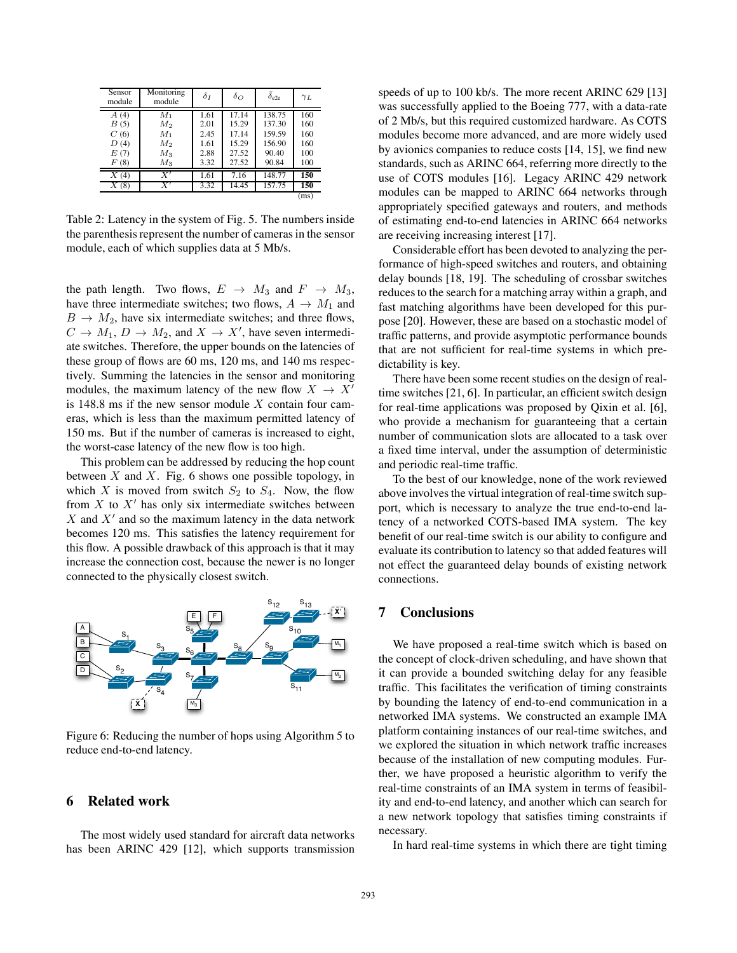| Sensor<br>module | Monitoring<br>module | $\delta_I$ | $\delta_O$ | $\overline{\delta}_{e2e}$ | $\gamma_L$ |
|------------------|----------------------|------------|------------|---------------------------|------------|
| A(4)             | $M_1$                | 1.61       | 17.14      | 138.75                    | 160        |
| B(5)             | М2                   | 2.01       | 15.29      | 137.30                    | 160        |
| C(6)             | $M_1$                | 2.45       | 17.14      | 159.59                    | 160        |
| D(4)             | $M_2$                | 1.61       | 15.29      | 156.90                    | 160        |
| E(7)             | $M_3$                | 2.88       | 27.52      | 90.40                     | 100        |
| F(8)             | $M_3$                | 3.32       | 27.52      | 90.84                     | 100        |
| X(4)             | $\overline{X'}$      | 1.61       | 7.16       | 148.77                    | 150        |
| X(8)             | X'                   | 3.32       | 14.45      | 157.75                    | 150        |
|                  |                      |            |            |                           | (ms)       |

Table 2: Latency in the system of Fig. 5. The numbers inside the parenthesis represent the number of cameras in the sensor module, each of which supplies data at 5 Mb/s.

the path length. Two flows,  $E \rightarrow M_3$  and  $F \rightarrow M_3$ , have three intermediate switches; two flows,  $A \rightarrow M_1$  and  $B \to M_2$ , have six intermediate switches; and three flows,  $C \to M_1, D \to M_2$ , and  $X \to X'$ , have seven intermedi-<br>ata suritables. Therefore, the unper hounds on the latencies of ate switches. Therefore, the upper bounds on the latencies of these group of flows are 60 ms, 120 ms, and 140 ms respectively. Summing the latencies in the sensor and monitoring modules, the maximum latency of the new flow  $X \to X'$ is 148.8 ms if the new sensor module  $X$  contain four cameras, which is less than the maximum permitted latency of 150 ms. But if the number of cameras is increased to eight, the worst-case latency of the new flow is too high.

This problem can be addressed by reducing the hop count between  $X$  and  $X$ . Fig. 6 shows one possible topology, in which X is moved from switch  $S_2$  to  $S_4$ . Now, the flow from  $X$  to  $X'$  has only six intermediate switches between  $X$  and  $X'$  and so the maximum latency in the data network becomes 120 ms. This satisfies the latency requirement for this flow. A possible drawback of this approach is that it may increase the connection cost, because the newer is no longer connected to the physically closest switch.



Figure 6: Reducing the number of hops using Algorithm 5 to reduce end-to-end latency.

# **6 Related work**

The most widely used standard for aircraft data networks has been ARINC 429 [12], which supports transmission speeds of up to 100 kb/s. The more recent ARINC 629 [13] was successfully applied to the Boeing 777, with a data-rate of 2 Mb/s, but this required customized hardware. As COTS modules become more advanced, and are more widely used by avionics companies to reduce costs [14, 15], we find new standards, such as ARINC 664, referring more directly to the use of COTS modules [16]. Legacy ARINC 429 network modules can be mapped to ARINC 664 networks through appropriately specified gateways and routers, and methods of estimating end-to-end latencies in ARINC 664 networks are receiving increasing interest [17].

Considerable effort has been devoted to analyzing the performance of high-speed switches and routers, and obtaining delay bounds [18, 19]. The scheduling of crossbar switches reduces to the search for a matching array within a graph, and fast matching algorithms have been developed for this purpose [20]. However, these are based on a stochastic model of traffic patterns, and provide asymptotic performance bounds that are not sufficient for real-time systems in which predictability is key.

There have been some recent studies on the design of realtime switches [21, 6]. In particular, an efficient switch design for real-time applications was proposed by Qixin et al. [6], who provide a mechanism for guaranteeing that a certain number of communication slots are allocated to a task over a fixed time interval, under the assumption of deterministic and periodic real-time traffic.

To the best of our knowledge, none of the work reviewed above involves the virtual integration of real-time switch support, which is necessary to analyze the true end-to-end latency of a networked COTS-based IMA system. The key benefit of our real-time switch is our ability to configure and evaluate its contribution to latency so that added features will not effect the guaranteed delay bounds of existing network connections.

### **7 Conclusions**

We have proposed a real-time switch which is based on the concept of clock-driven scheduling, and have shown that it can provide a bounded switching delay for any feasible traffic. This facilitates the verification of timing constraints by bounding the latency of end-to-end communication in a networked IMA systems. We constructed an example IMA platform containing instances of our real-time switches, and we explored the situation in which network traffic increases because of the installation of new computing modules. Further, we have proposed a heuristic algorithm to verify the real-time constraints of an IMA system in terms of feasibility and end-to-end latency, and another which can search for a new network topology that satisfies timing constraints if necessary.

In hard real-time systems in which there are tight timing